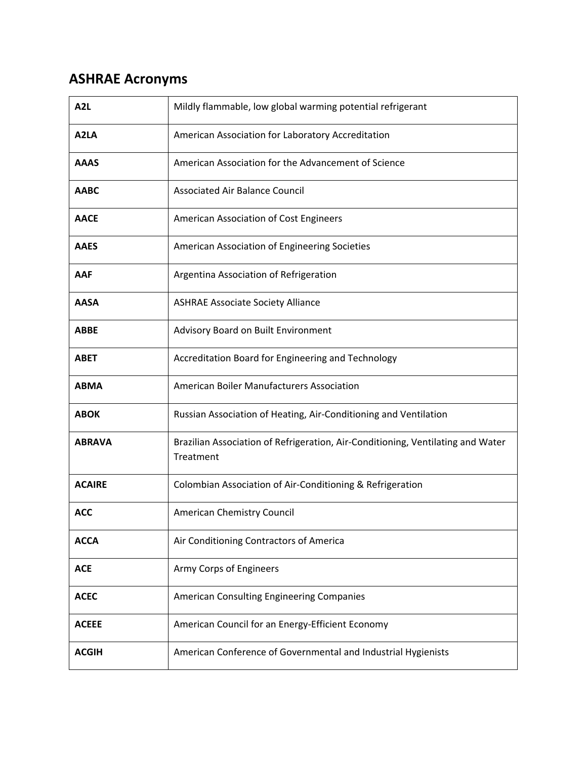## **ASHRAE Acronyms**

| A <sub>2</sub> L  | Mildly flammable, low global warming potential refrigerant                                   |
|-------------------|----------------------------------------------------------------------------------------------|
| A <sub>2</sub> LA | American Association for Laboratory Accreditation                                            |
| <b>AAAS</b>       | American Association for the Advancement of Science                                          |
| <b>AABC</b>       | <b>Associated Air Balance Council</b>                                                        |
| <b>AACE</b>       | American Association of Cost Engineers                                                       |
| <b>AAES</b>       | American Association of Engineering Societies                                                |
| AAF               | Argentina Association of Refrigeration                                                       |
| <b>AASA</b>       | <b>ASHRAE Associate Society Alliance</b>                                                     |
| <b>ABBE</b>       | Advisory Board on Built Environment                                                          |
| <b>ABET</b>       | Accreditation Board for Engineering and Technology                                           |
| <b>ABMA</b>       | American Boiler Manufacturers Association                                                    |
| <b>ABOK</b>       | Russian Association of Heating, Air-Conditioning and Ventilation                             |
| <b>ABRAVA</b>     | Brazilian Association of Refrigeration, Air-Conditioning, Ventilating and Water<br>Treatment |
| <b>ACAIRE</b>     | Colombian Association of Air-Conditioning & Refrigeration                                    |
| <b>ACC</b>        | American Chemistry Council                                                                   |
| <b>ACCA</b>       | Air Conditioning Contractors of America                                                      |
| <b>ACE</b>        | Army Corps of Engineers                                                                      |
| <b>ACEC</b>       | American Consulting Engineering Companies                                                    |
| <b>ACEEE</b>      | American Council for an Energy-Efficient Economy                                             |
| <b>ACGIH</b>      | American Conference of Governmental and Industrial Hygienists                                |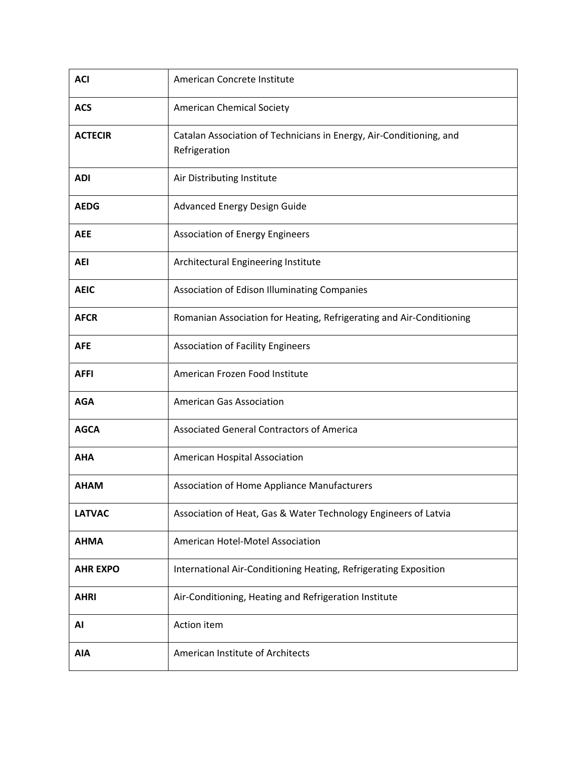| <b>ACI</b>      | American Concrete Institute                                                          |
|-----------------|--------------------------------------------------------------------------------------|
| <b>ACS</b>      | <b>American Chemical Society</b>                                                     |
| <b>ACTECIR</b>  | Catalan Association of Technicians in Energy, Air-Conditioning, and<br>Refrigeration |
| <b>ADI</b>      | Air Distributing Institute                                                           |
| <b>AEDG</b>     | Advanced Energy Design Guide                                                         |
| <b>AEE</b>      | <b>Association of Energy Engineers</b>                                               |
| <b>AEI</b>      | Architectural Engineering Institute                                                  |
| <b>AEIC</b>     | Association of Edison Illuminating Companies                                         |
| <b>AFCR</b>     | Romanian Association for Heating, Refrigerating and Air-Conditioning                 |
| <b>AFE</b>      | <b>Association of Facility Engineers</b>                                             |
| <b>AFFI</b>     | American Frozen Food Institute                                                       |
| <b>AGA</b>      | <b>American Gas Association</b>                                                      |
| <b>AGCA</b>     | <b>Associated General Contractors of America</b>                                     |
| <b>AHA</b>      | American Hospital Association                                                        |
| <b>AHAM</b>     | Association of Home Appliance Manufacturers                                          |
| <b>LATVAC</b>   | Association of Heat, Gas & Water Technology Engineers of Latvia                      |
| <b>AHMA</b>     | American Hotel-Motel Association                                                     |
| <b>AHR EXPO</b> | International Air-Conditioning Heating, Refrigerating Exposition                     |
| <b>AHRI</b>     | Air-Conditioning, Heating and Refrigeration Institute                                |
| AI              | Action item                                                                          |
| <b>AIA</b>      | American Institute of Architects                                                     |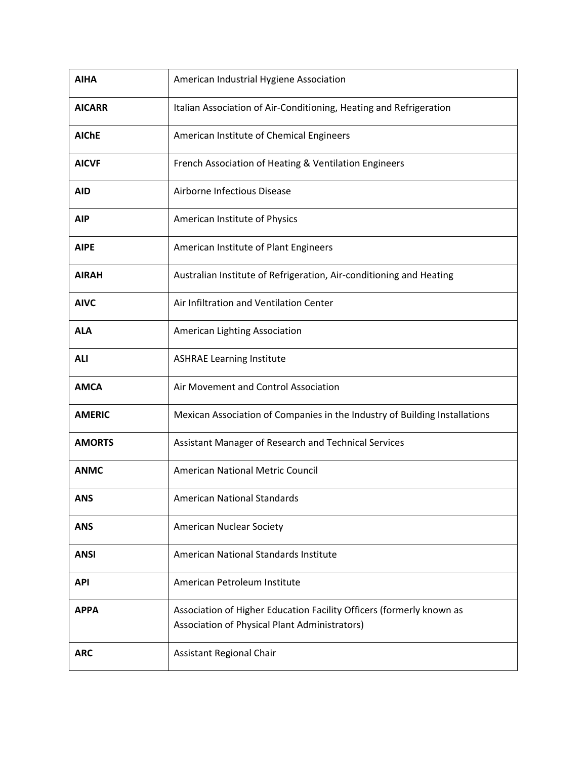| <b>AIHA</b>   | American Industrial Hygiene Association                                                                               |
|---------------|-----------------------------------------------------------------------------------------------------------------------|
| <b>AICARR</b> | Italian Association of Air-Conditioning, Heating and Refrigeration                                                    |
| <b>AIChE</b>  | American Institute of Chemical Engineers                                                                              |
| <b>AICVF</b>  | French Association of Heating & Ventilation Engineers                                                                 |
| <b>AID</b>    | Airborne Infectious Disease                                                                                           |
| <b>AIP</b>    | American Institute of Physics                                                                                         |
| <b>AIPE</b>   | American Institute of Plant Engineers                                                                                 |
| <b>AIRAH</b>  | Australian Institute of Refrigeration, Air-conditioning and Heating                                                   |
| <b>AIVC</b>   | Air Infiltration and Ventilation Center                                                                               |
| <b>ALA</b>    | American Lighting Association                                                                                         |
| <b>ALI</b>    | <b>ASHRAE Learning Institute</b>                                                                                      |
| <b>AMCA</b>   | Air Movement and Control Association                                                                                  |
| <b>AMERIC</b> | Mexican Association of Companies in the Industry of Building Installations                                            |
| <b>AMORTS</b> | Assistant Manager of Research and Technical Services                                                                  |
| <b>ANMC</b>   | American National Metric Council                                                                                      |
| <b>ANS</b>    | <b>American National Standards</b>                                                                                    |
| <b>ANS</b>    | American Nuclear Society                                                                                              |
| <b>ANSI</b>   | American National Standards Institute                                                                                 |
| <b>API</b>    | American Petroleum Institute                                                                                          |
| <b>APPA</b>   | Association of Higher Education Facility Officers (formerly known as<br>Association of Physical Plant Administrators) |
| <b>ARC</b>    | Assistant Regional Chair                                                                                              |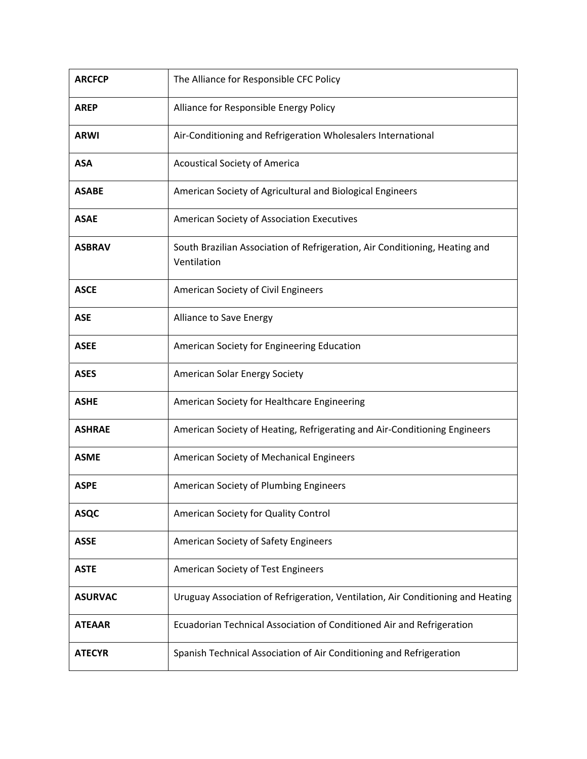| <b>ARCFCP</b>  | The Alliance for Responsible CFC Policy                                                    |
|----------------|--------------------------------------------------------------------------------------------|
| <b>AREP</b>    | Alliance for Responsible Energy Policy                                                     |
| <b>ARWI</b>    | Air-Conditioning and Refrigeration Wholesalers International                               |
| <b>ASA</b>     | <b>Acoustical Society of America</b>                                                       |
| <b>ASABE</b>   | American Society of Agricultural and Biological Engineers                                  |
| <b>ASAE</b>    | American Society of Association Executives                                                 |
| <b>ASBRAV</b>  | South Brazilian Association of Refrigeration, Air Conditioning, Heating and<br>Ventilation |
| <b>ASCE</b>    | American Society of Civil Engineers                                                        |
| <b>ASE</b>     | Alliance to Save Energy                                                                    |
| <b>ASEE</b>    | American Society for Engineering Education                                                 |
| <b>ASES</b>    | American Solar Energy Society                                                              |
| <b>ASHE</b>    | American Society for Healthcare Engineering                                                |
| <b>ASHRAE</b>  | American Society of Heating, Refrigerating and Air-Conditioning Engineers                  |
| <b>ASME</b>    | American Society of Mechanical Engineers                                                   |
| <b>ASPE</b>    | American Society of Plumbing Engineers                                                     |
| <b>ASQC</b>    | American Society for Quality Control                                                       |
| <b>ASSE</b>    | American Society of Safety Engineers                                                       |
| <b>ASTE</b>    | American Society of Test Engineers                                                         |
| <b>ASURVAC</b> | Uruguay Association of Refrigeration, Ventilation, Air Conditioning and Heating            |
| <b>ATEAAR</b>  | Ecuadorian Technical Association of Conditioned Air and Refrigeration                      |
| <b>ATECYR</b>  | Spanish Technical Association of Air Conditioning and Refrigeration                        |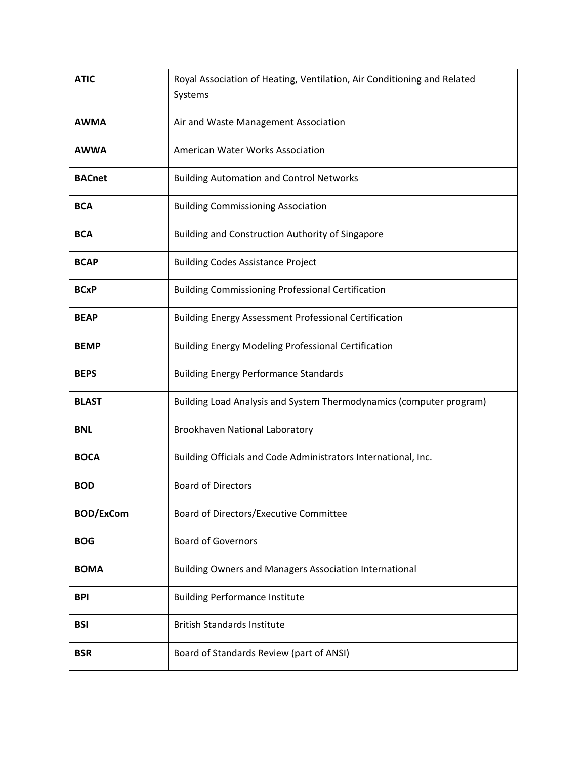| <b>ATIC</b>      | Royal Association of Heating, Ventilation, Air Conditioning and Related<br>Systems |
|------------------|------------------------------------------------------------------------------------|
| <b>AWMA</b>      | Air and Waste Management Association                                               |
| <b>AWWA</b>      | American Water Works Association                                                   |
| <b>BACnet</b>    | <b>Building Automation and Control Networks</b>                                    |
| <b>BCA</b>       | <b>Building Commissioning Association</b>                                          |
| <b>BCA</b>       | Building and Construction Authority of Singapore                                   |
| <b>BCAP</b>      | <b>Building Codes Assistance Project</b>                                           |
| <b>BCxP</b>      | <b>Building Commissioning Professional Certification</b>                           |
| <b>BEAP</b>      | <b>Building Energy Assessment Professional Certification</b>                       |
| <b>BEMP</b>      | <b>Building Energy Modeling Professional Certification</b>                         |
| <b>BEPS</b>      | <b>Building Energy Performance Standards</b>                                       |
| <b>BLAST</b>     | Building Load Analysis and System Thermodynamics (computer program)                |
| <b>BNL</b>       | Brookhaven National Laboratory                                                     |
| <b>BOCA</b>      | Building Officials and Code Administrators International, Inc.                     |
| <b>BOD</b>       | <b>Board of Directors</b>                                                          |
| <b>BOD/ExCom</b> | Board of Directors/Executive Committee                                             |
| <b>BOG</b>       | <b>Board of Governors</b>                                                          |
| <b>BOMA</b>      | Building Owners and Managers Association International                             |
| <b>BPI</b>       | <b>Building Performance Institute</b>                                              |
| <b>BSI</b>       | <b>British Standards Institute</b>                                                 |
| <b>BSR</b>       | Board of Standards Review (part of ANSI)                                           |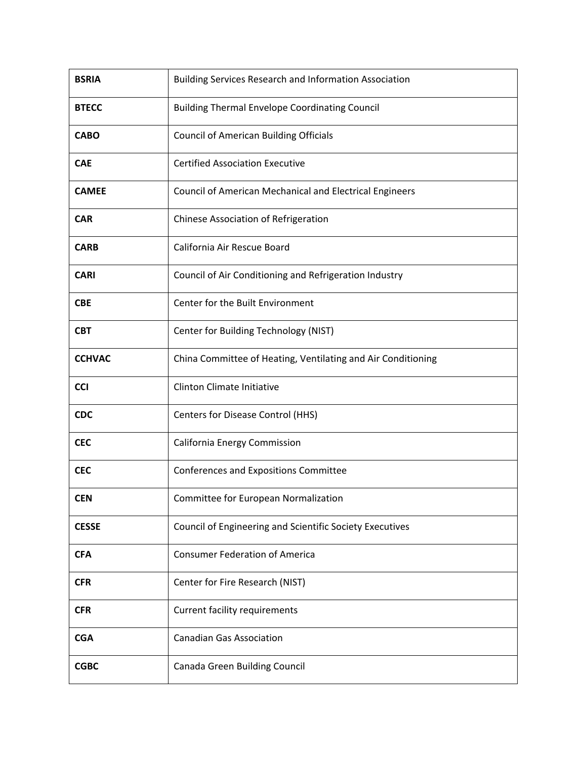| <b>BSRIA</b>  | Building Services Research and Information Association       |
|---------------|--------------------------------------------------------------|
| <b>BTECC</b>  | <b>Building Thermal Envelope Coordinating Council</b>        |
| <b>CABO</b>   | <b>Council of American Building Officials</b>                |
| <b>CAE</b>    | <b>Certified Association Executive</b>                       |
| <b>CAMEE</b>  | Council of American Mechanical and Electrical Engineers      |
| <b>CAR</b>    | Chinese Association of Refrigeration                         |
| <b>CARB</b>   | California Air Rescue Board                                  |
| <b>CARI</b>   | Council of Air Conditioning and Refrigeration Industry       |
| <b>CBE</b>    | Center for the Built Environment                             |
| <b>CBT</b>    | Center for Building Technology (NIST)                        |
| <b>CCHVAC</b> | China Committee of Heating, Ventilating and Air Conditioning |
| <b>CCI</b>    | <b>Clinton Climate Initiative</b>                            |
| <b>CDC</b>    | Centers for Disease Control (HHS)                            |
| <b>CEC</b>    | California Energy Commission                                 |
| <b>CEC</b>    | Conferences and Expositions Committee                        |
| <b>CEN</b>    | Committee for European Normalization                         |
| <b>CESSE</b>  | Council of Engineering and Scientific Society Executives     |
| <b>CFA</b>    | <b>Consumer Federation of America</b>                        |
| <b>CFR</b>    | Center for Fire Research (NIST)                              |
| <b>CFR</b>    | <b>Current facility requirements</b>                         |
| <b>CGA</b>    | <b>Canadian Gas Association</b>                              |
| <b>CGBC</b>   | Canada Green Building Council                                |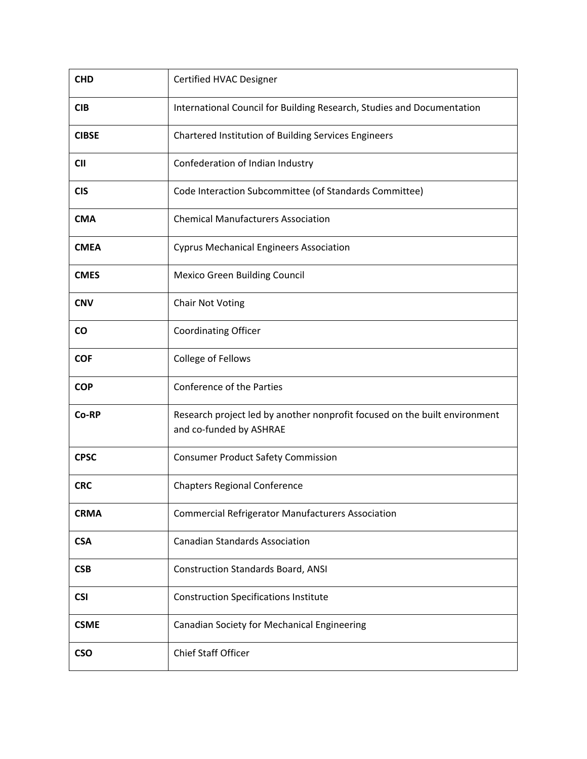| <b>CHD</b>   | Certified HVAC Designer                                                                               |
|--------------|-------------------------------------------------------------------------------------------------------|
| <b>CIB</b>   | International Council for Building Research, Studies and Documentation                                |
| <b>CIBSE</b> | Chartered Institution of Building Services Engineers                                                  |
| <b>CII</b>   | Confederation of Indian Industry                                                                      |
| <b>CIS</b>   | Code Interaction Subcommittee (of Standards Committee)                                                |
| <b>CMA</b>   | <b>Chemical Manufacturers Association</b>                                                             |
| <b>CMEA</b>  | <b>Cyprus Mechanical Engineers Association</b>                                                        |
| <b>CMES</b>  | <b>Mexico Green Building Council</b>                                                                  |
| <b>CNV</b>   | <b>Chair Not Voting</b>                                                                               |
| <b>CO</b>    | <b>Coordinating Officer</b>                                                                           |
| <b>COF</b>   | College of Fellows                                                                                    |
| <b>COP</b>   | Conference of the Parties                                                                             |
| Co-RP        | Research project led by another nonprofit focused on the built environment<br>and co-funded by ASHRAE |
| <b>CPSC</b>  | <b>Consumer Product Safety Commission</b>                                                             |
| <b>CRC</b>   | <b>Chapters Regional Conference</b>                                                                   |
| <b>CRMA</b>  | <b>Commercial Refrigerator Manufacturers Association</b>                                              |
| <b>CSA</b>   | <b>Canadian Standards Association</b>                                                                 |
| <b>CSB</b>   | <b>Construction Standards Board, ANSI</b>                                                             |
| <b>CSI</b>   | <b>Construction Specifications Institute</b>                                                          |
| <b>CSME</b>  | Canadian Society for Mechanical Engineering                                                           |
| <b>CSO</b>   | Chief Staff Officer                                                                                   |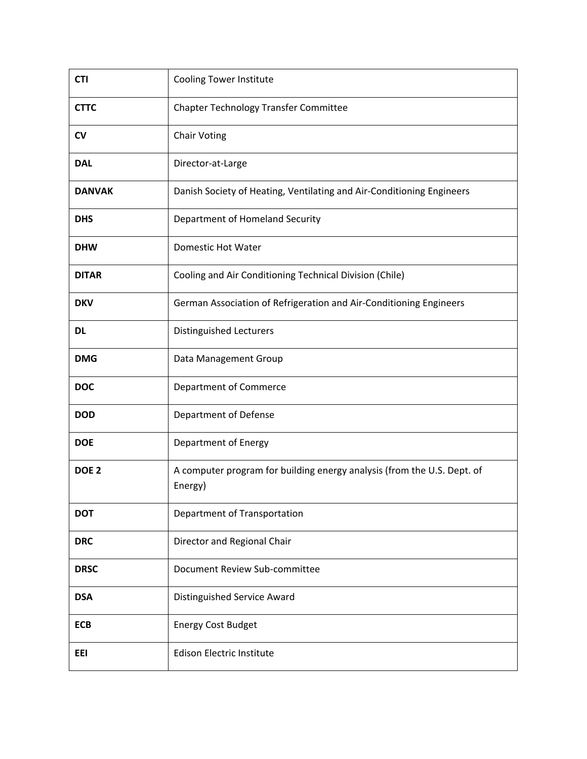| <b>CTI</b>       | <b>Cooling Tower Institute</b>                                                     |
|------------------|------------------------------------------------------------------------------------|
| <b>CTTC</b>      | Chapter Technology Transfer Committee                                              |
| <b>CV</b>        | <b>Chair Voting</b>                                                                |
| <b>DAL</b>       | Director-at-Large                                                                  |
| <b>DANVAK</b>    | Danish Society of Heating, Ventilating and Air-Conditioning Engineers              |
| <b>DHS</b>       | Department of Homeland Security                                                    |
| <b>DHW</b>       | Domestic Hot Water                                                                 |
| <b>DITAR</b>     | Cooling and Air Conditioning Technical Division (Chile)                            |
| <b>DKV</b>       | German Association of Refrigeration and Air-Conditioning Engineers                 |
| <b>DL</b>        | <b>Distinguished Lecturers</b>                                                     |
| <b>DMG</b>       | Data Management Group                                                              |
| <b>DOC</b>       | Department of Commerce                                                             |
| <b>DOD</b>       | Department of Defense                                                              |
| <b>DOE</b>       | Department of Energy                                                               |
| DOE <sub>2</sub> | A computer program for building energy analysis (from the U.S. Dept. of<br>Energy) |
| <b>DOT</b>       | Department of Transportation                                                       |
| <b>DRC</b>       | Director and Regional Chair                                                        |
| <b>DRSC</b>      | Document Review Sub-committee                                                      |
| <b>DSA</b>       | Distinguished Service Award                                                        |
| <b>ECB</b>       | <b>Energy Cost Budget</b>                                                          |
| EEI              | <b>Edison Electric Institute</b>                                                   |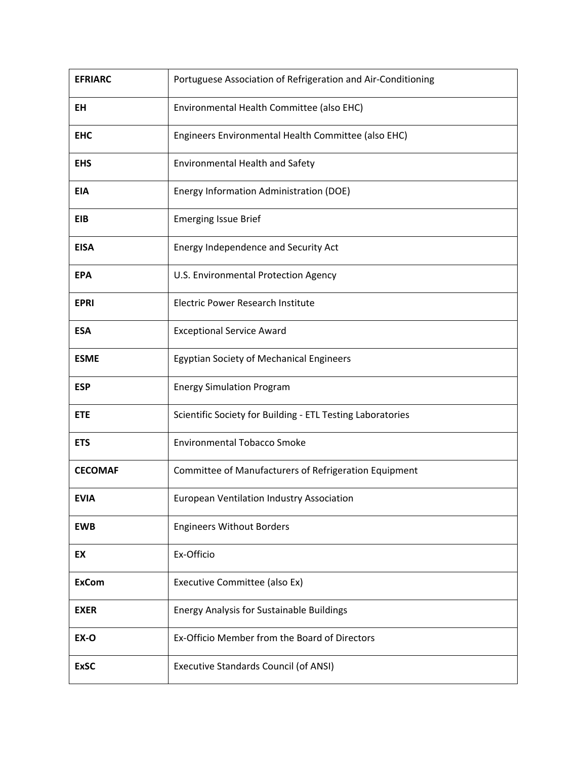| <b>EFRIARC</b> | Portuguese Association of Refrigeration and Air-Conditioning |
|----------------|--------------------------------------------------------------|
| <b>EH</b>      | Environmental Health Committee (also EHC)                    |
| <b>EHC</b>     | Engineers Environmental Health Committee (also EHC)          |
| <b>EHS</b>     | Environmental Health and Safety                              |
| <b>EIA</b>     | Energy Information Administration (DOE)                      |
| <b>EIB</b>     | <b>Emerging Issue Brief</b>                                  |
| <b>EISA</b>    | Energy Independence and Security Act                         |
| <b>EPA</b>     | U.S. Environmental Protection Agency                         |
| <b>EPRI</b>    | <b>Electric Power Research Institute</b>                     |
| <b>ESA</b>     | <b>Exceptional Service Award</b>                             |
| <b>ESME</b>    | <b>Egyptian Society of Mechanical Engineers</b>              |
| <b>ESP</b>     | <b>Energy Simulation Program</b>                             |
| <b>ETE</b>     | Scientific Society for Building - ETL Testing Laboratories   |
| <b>ETS</b>     | <b>Environmental Tobacco Smoke</b>                           |
| <b>CECOMAF</b> | Committee of Manufacturers of Refrigeration Equipment        |
| <b>EVIA</b>    | <b>European Ventilation Industry Association</b>             |
| <b>EWB</b>     | <b>Engineers Without Borders</b>                             |
| EX             | Ex-Officio                                                   |
| <b>ExCom</b>   | Executive Committee (also Ex)                                |
| <b>EXER</b>    | <b>Energy Analysis for Sustainable Buildings</b>             |
| EX-O           | Ex-Officio Member from the Board of Directors                |
| <b>ExSC</b>    | <b>Executive Standards Council (of ANSI)</b>                 |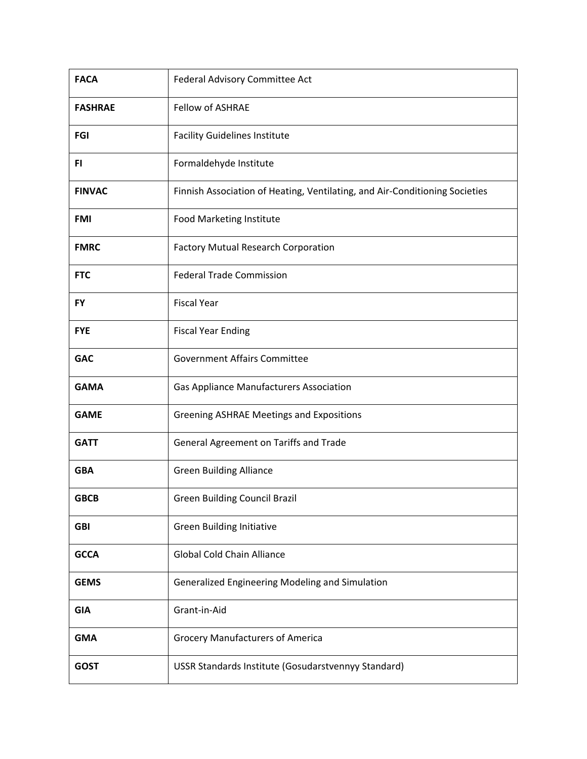| <b>FACA</b>    | Federal Advisory Committee Act                                              |
|----------------|-----------------------------------------------------------------------------|
| <b>FASHRAE</b> | <b>Fellow of ASHRAE</b>                                                     |
| <b>FGI</b>     | <b>Facility Guidelines Institute</b>                                        |
| FI.            | Formaldehyde Institute                                                      |
| <b>FINVAC</b>  | Finnish Association of Heating, Ventilating, and Air-Conditioning Societies |
| <b>FMI</b>     | Food Marketing Institute                                                    |
| <b>FMRC</b>    | <b>Factory Mutual Research Corporation</b>                                  |
| <b>FTC</b>     | <b>Federal Trade Commission</b>                                             |
| <b>FY</b>      | <b>Fiscal Year</b>                                                          |
| <b>FYE</b>     | <b>Fiscal Year Ending</b>                                                   |
| <b>GAC</b>     | <b>Government Affairs Committee</b>                                         |
| <b>GAMA</b>    | <b>Gas Appliance Manufacturers Association</b>                              |
| <b>GAME</b>    | <b>Greening ASHRAE Meetings and Expositions</b>                             |
| <b>GATT</b>    | General Agreement on Tariffs and Trade                                      |
| <b>GBA</b>     | <b>Green Building Alliance</b>                                              |
| <b>GBCB</b>    | Green Building Council Brazil                                               |
| <b>GBI</b>     | <b>Green Building Initiative</b>                                            |
| <b>GCCA</b>    | <b>Global Cold Chain Alliance</b>                                           |
| <b>GEMS</b>    | Generalized Engineering Modeling and Simulation                             |
| <b>GIA</b>     | Grant-in-Aid                                                                |
| <b>GMA</b>     | <b>Grocery Manufacturers of America</b>                                     |
| <b>GOST</b>    | USSR Standards Institute (Gosudarstvennyy Standard)                         |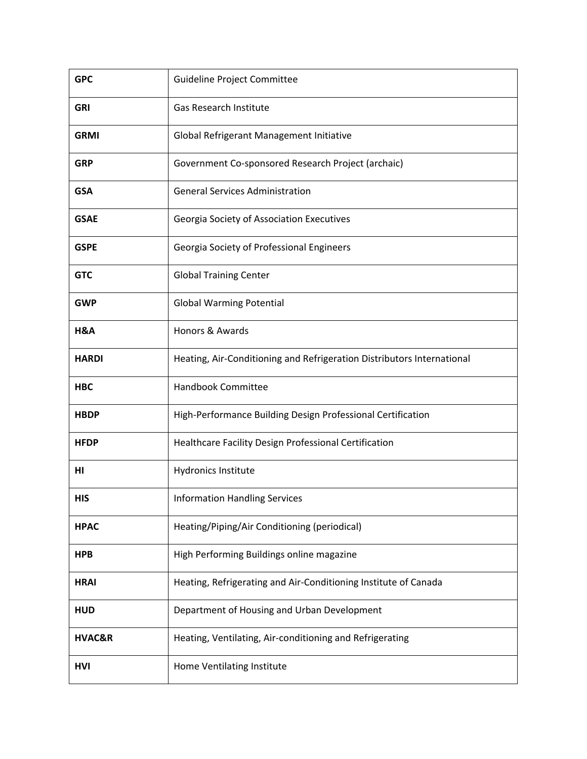| <b>GPC</b>   | Guideline Project Committee                                            |
|--------------|------------------------------------------------------------------------|
| <b>GRI</b>   | <b>Gas Research Institute</b>                                          |
| <b>GRMI</b>  | Global Refrigerant Management Initiative                               |
| <b>GRP</b>   | Government Co-sponsored Research Project (archaic)                     |
| <b>GSA</b>   | <b>General Services Administration</b>                                 |
| <b>GSAE</b>  | Georgia Society of Association Executives                              |
| <b>GSPE</b>  | Georgia Society of Professional Engineers                              |
| <b>GTC</b>   | <b>Global Training Center</b>                                          |
| <b>GWP</b>   | <b>Global Warming Potential</b>                                        |
| H&A          | Honors & Awards                                                        |
| <b>HARDI</b> | Heating, Air-Conditioning and Refrigeration Distributors International |
| <b>HBC</b>   | <b>Handbook Committee</b>                                              |
| <b>HBDP</b>  | High-Performance Building Design Professional Certification            |
| <b>HFDP</b>  | Healthcare Facility Design Professional Certification                  |
| HI           | Hydronics Institute                                                    |
| <b>HIS</b>   | <b>Information Handling Services</b>                                   |
| <b>HPAC</b>  | Heating/Piping/Air Conditioning (periodical)                           |
| <b>HPB</b>   | High Performing Buildings online magazine                              |
| <b>HRAI</b>  | Heating, Refrigerating and Air-Conditioning Institute of Canada        |
| <b>HUD</b>   | Department of Housing and Urban Development                            |
| HVAC&R       | Heating, Ventilating, Air-conditioning and Refrigerating               |
| <b>HVI</b>   | Home Ventilating Institute                                             |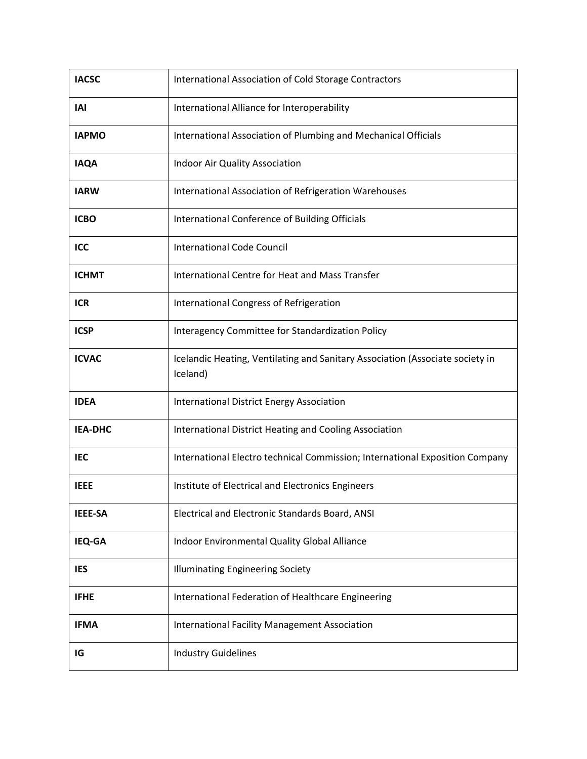| <b>IACSC</b>   | International Association of Cold Storage Contractors                                     |
|----------------|-------------------------------------------------------------------------------------------|
| <b>IAI</b>     | International Alliance for Interoperability                                               |
| <b>IAPMO</b>   | International Association of Plumbing and Mechanical Officials                            |
| <b>IAQA</b>    | Indoor Air Quality Association                                                            |
| <b>IARW</b>    | International Association of Refrigeration Warehouses                                     |
| <b>ICBO</b>    | International Conference of Building Officials                                            |
| ICC            | <b>International Code Council</b>                                                         |
| <b>ICHMT</b>   | International Centre for Heat and Mass Transfer                                           |
| <b>ICR</b>     | International Congress of Refrigeration                                                   |
| <b>ICSP</b>    | Interagency Committee for Standardization Policy                                          |
| <b>ICVAC</b>   | Icelandic Heating, Ventilating and Sanitary Association (Associate society in<br>Iceland) |
| <b>IDEA</b>    | <b>International District Energy Association</b>                                          |
| <b>IEA-DHC</b> | International District Heating and Cooling Association                                    |
| <b>IEC</b>     | International Electro technical Commission; International Exposition Company              |
| <b>IEEE</b>    | Institute of Electrical and Electronics Engineers                                         |
| <b>IEEE-SA</b> | Electrical and Electronic Standards Board, ANSI                                           |
| IEQ-GA         | Indoor Environmental Quality Global Alliance                                              |
| <b>IES</b>     | <b>Illuminating Engineering Society</b>                                                   |
| <b>IFHE</b>    | International Federation of Healthcare Engineering                                        |
| <b>IFMA</b>    | <b>International Facility Management Association</b>                                      |
| IG             | <b>Industry Guidelines</b>                                                                |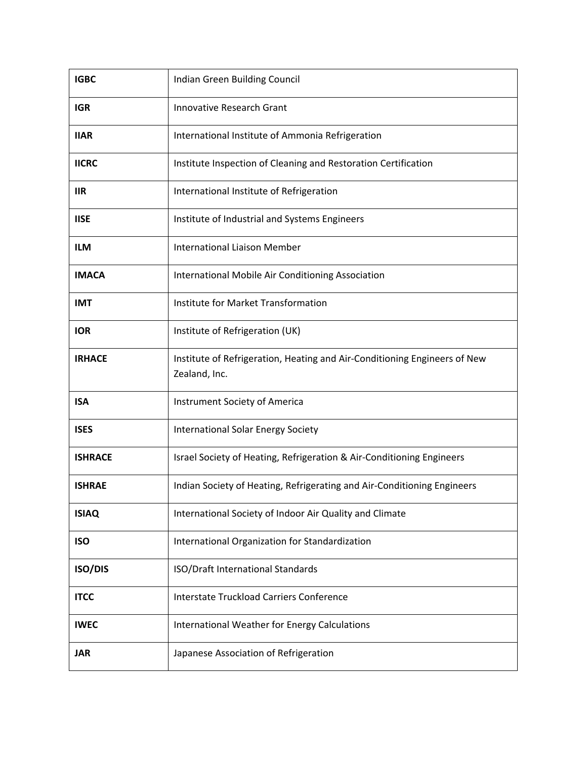| <b>IGBC</b>    | Indian Green Building Council                                                              |
|----------------|--------------------------------------------------------------------------------------------|
| <b>IGR</b>     | <b>Innovative Research Grant</b>                                                           |
| <b>IIAR</b>    | International Institute of Ammonia Refrigeration                                           |
| <b>IICRC</b>   | Institute Inspection of Cleaning and Restoration Certification                             |
| <b>IIR</b>     | International Institute of Refrigeration                                                   |
| <b>IISE</b>    | Institute of Industrial and Systems Engineers                                              |
| <b>ILM</b>     | <b>International Liaison Member</b>                                                        |
| <b>IMACA</b>   | International Mobile Air Conditioning Association                                          |
| <b>IMT</b>     | Institute for Market Transformation                                                        |
| <b>IOR</b>     | Institute of Refrigeration (UK)                                                            |
| <b>IRHACE</b>  | Institute of Refrigeration, Heating and Air-Conditioning Engineers of New<br>Zealand, Inc. |
| <b>ISA</b>     | Instrument Society of America                                                              |
| <b>ISES</b>    | <b>International Solar Energy Society</b>                                                  |
| <b>ISHRACE</b> | Israel Society of Heating, Refrigeration & Air-Conditioning Engineers                      |
| <b>ISHRAE</b>  | Indian Society of Heating, Refrigerating and Air-Conditioning Engineers                    |
| <b>ISIAQ</b>   | International Society of Indoor Air Quality and Climate                                    |
| <b>ISO</b>     | International Organization for Standardization                                             |
| <b>ISO/DIS</b> | ISO/Draft International Standards                                                          |
| <b>ITCC</b>    | Interstate Truckload Carriers Conference                                                   |
| <b>IWEC</b>    | International Weather for Energy Calculations                                              |
| <b>JAR</b>     | Japanese Association of Refrigeration                                                      |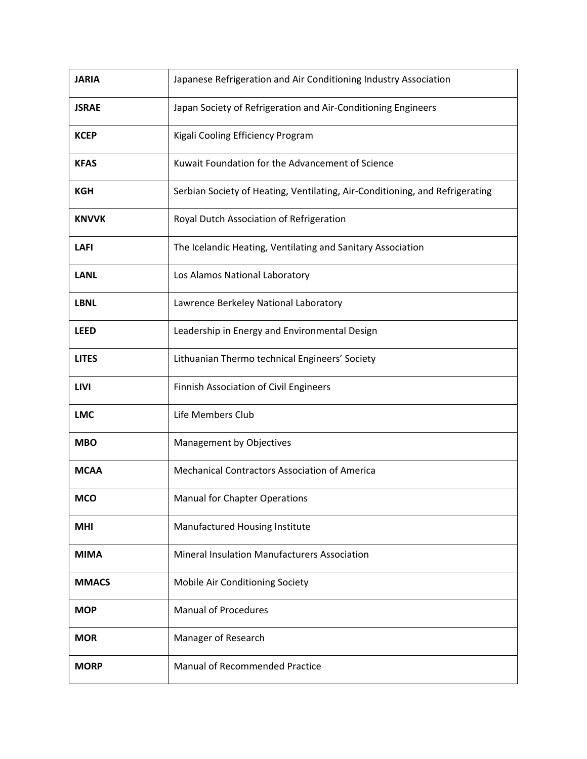| <b>JARIA</b> | Japanese Refrigeration and Air Conditioning Industry Association             |
|--------------|------------------------------------------------------------------------------|
| <b>JSRAE</b> | Japan Society of Refrigeration and Air-Conditioning Engineers                |
| <b>KCEP</b>  | Kigali Cooling Efficiency Program                                            |
| <b>KFAS</b>  | Kuwait Foundation for the Advancement of Science                             |
| <b>KGH</b>   | Serbian Society of Heating, Ventilating, Air-Conditioning, and Refrigerating |
| <b>KNVVK</b> | Royal Dutch Association of Refrigeration                                     |
| <b>LAFI</b>  | The Icelandic Heating, Ventilating and Sanitary Association                  |
| <b>LANL</b>  | Los Alamos National Laboratory                                               |
| <b>LBNL</b>  | Lawrence Berkeley National Laboratory                                        |
| <b>LEED</b>  | Leadership in Energy and Environmental Design                                |
| <b>LITES</b> | Lithuanian Thermo technical Engineers' Society                               |
| <b>LIVI</b>  | Finnish Association of Civil Engineers                                       |
| <b>LMC</b>   | Life Members Club                                                            |
| <b>MBO</b>   | Management by Objectives                                                     |
| <b>MCAA</b>  | <b>Mechanical Contractors Association of America</b>                         |
| <b>MCO</b>   | Manual for Chapter Operations                                                |
| <b>MHI</b>   | Manufactured Housing Institute                                               |
| <b>MIMA</b>  | Mineral Insulation Manufacturers Association                                 |
| <b>MMACS</b> | Mobile Air Conditioning Society                                              |
| <b>MOP</b>   | <b>Manual of Procedures</b>                                                  |
| <b>MOR</b>   | Manager of Research                                                          |
| <b>MORP</b>  | <b>Manual of Recommended Practice</b>                                        |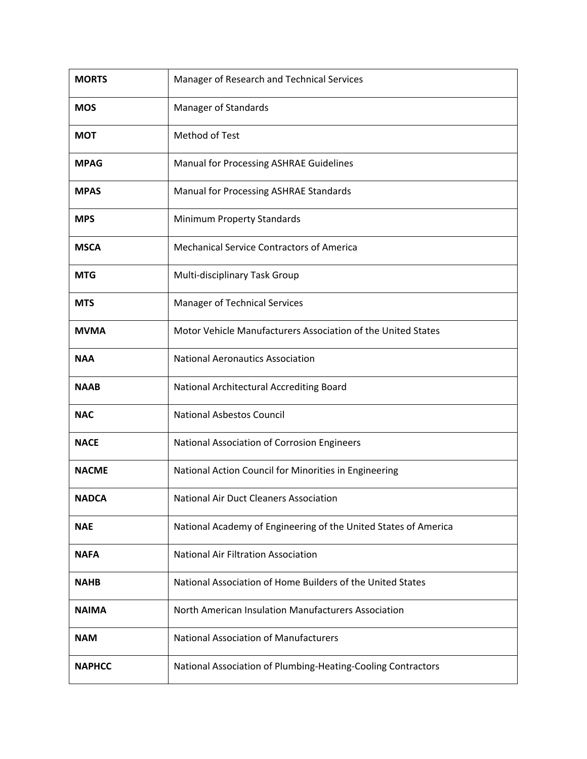| <b>MORTS</b>  | Manager of Research and Technical Services                      |
|---------------|-----------------------------------------------------------------|
| <b>MOS</b>    | Manager of Standards                                            |
| <b>MOT</b>    | Method of Test                                                  |
| <b>MPAG</b>   | Manual for Processing ASHRAE Guidelines                         |
| <b>MPAS</b>   | Manual for Processing ASHRAE Standards                          |
| <b>MPS</b>    | Minimum Property Standards                                      |
| <b>MSCA</b>   | <b>Mechanical Service Contractors of America</b>                |
| <b>MTG</b>    | Multi-disciplinary Task Group                                   |
| <b>MTS</b>    | Manager of Technical Services                                   |
| <b>MVMA</b>   | Motor Vehicle Manufacturers Association of the United States    |
| <b>NAA</b>    | <b>National Aeronautics Association</b>                         |
| <b>NAAB</b>   | National Architectural Accrediting Board                        |
| <b>NAC</b>    | <b>National Asbestos Council</b>                                |
| <b>NACE</b>   | National Association of Corrosion Engineers                     |
| <b>NACME</b>  | National Action Council for Minorities in Engineering           |
| <b>NADCA</b>  | National Air Duct Cleaners Association                          |
| <b>NAE</b>    | National Academy of Engineering of the United States of America |
| <b>NAFA</b>   | <b>National Air Filtration Association</b>                      |
| <b>NAHB</b>   | National Association of Home Builders of the United States      |
| <b>NAIMA</b>  | North American Insulation Manufacturers Association             |
| <b>NAM</b>    | <b>National Association of Manufacturers</b>                    |
| <b>NAPHCC</b> | National Association of Plumbing-Heating-Cooling Contractors    |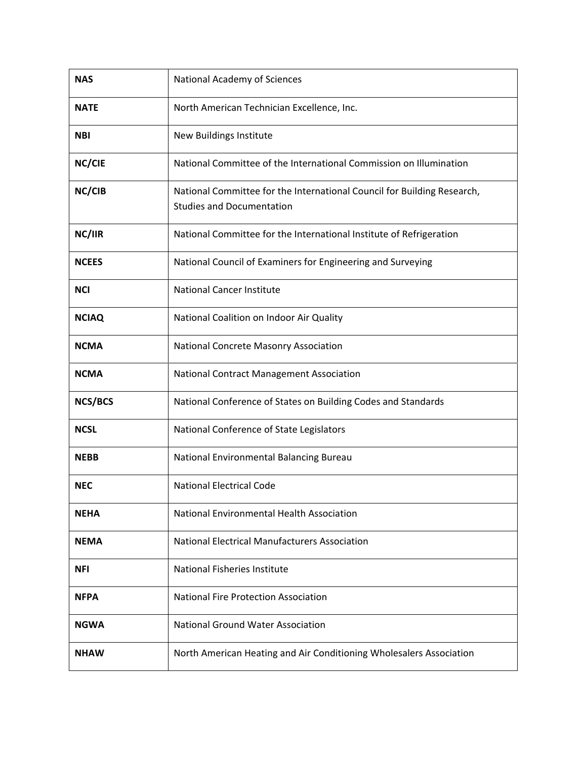| <b>NAS</b>     | National Academy of Sciences                                                                                |
|----------------|-------------------------------------------------------------------------------------------------------------|
| <b>NATE</b>    | North American Technician Excellence, Inc.                                                                  |
| <b>NBI</b>     | New Buildings Institute                                                                                     |
| NC/CIE         | National Committee of the International Commission on Illumination                                          |
| NC/CIB         | National Committee for the International Council for Building Research,<br><b>Studies and Documentation</b> |
| NC/IIR         | National Committee for the International Institute of Refrigeration                                         |
| <b>NCEES</b>   | National Council of Examiners for Engineering and Surveying                                                 |
| <b>NCI</b>     | <b>National Cancer Institute</b>                                                                            |
| <b>NCIAQ</b>   | National Coalition on Indoor Air Quality                                                                    |
| <b>NCMA</b>    | <b>National Concrete Masonry Association</b>                                                                |
| <b>NCMA</b>    | <b>National Contract Management Association</b>                                                             |
| <b>NCS/BCS</b> | National Conference of States on Building Codes and Standards                                               |
| <b>NCSL</b>    | National Conference of State Legislators                                                                    |
| <b>NEBB</b>    | National Environmental Balancing Bureau                                                                     |
| <b>NEC</b>     | <b>National Electrical Code</b>                                                                             |
| <b>NEHA</b>    | National Environmental Health Association                                                                   |
| <b>NEMA</b>    | <b>National Electrical Manufacturers Association</b>                                                        |
| <b>NFI</b>     | National Fisheries Institute                                                                                |
| <b>NFPA</b>    | <b>National Fire Protection Association</b>                                                                 |
| <b>NGWA</b>    | <b>National Ground Water Association</b>                                                                    |
| <b>NHAW</b>    | North American Heating and Air Conditioning Wholesalers Association                                         |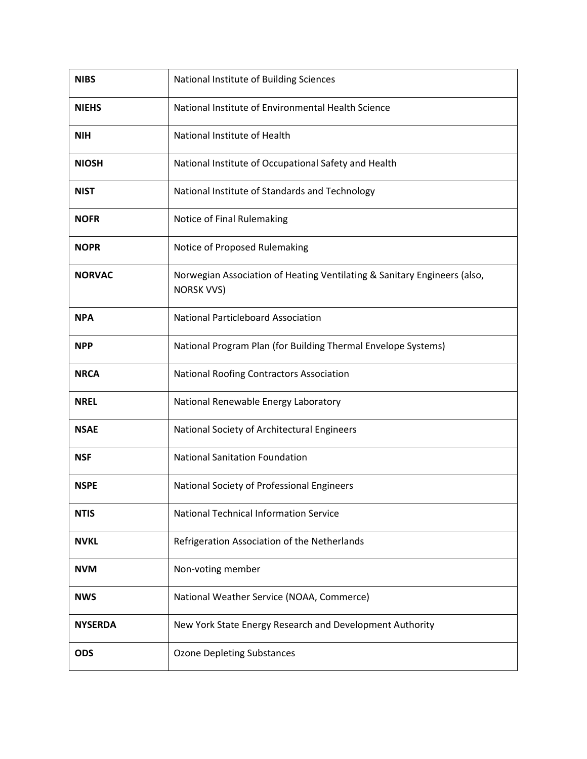| <b>NIBS</b>    | National Institute of Building Sciences                                                       |
|----------------|-----------------------------------------------------------------------------------------------|
| <b>NIEHS</b>   | National Institute of Environmental Health Science                                            |
| <b>NIH</b>     | National Institute of Health                                                                  |
| <b>NIOSH</b>   | National Institute of Occupational Safety and Health                                          |
| <b>NIST</b>    | National Institute of Standards and Technology                                                |
| <b>NOFR</b>    | Notice of Final Rulemaking                                                                    |
| <b>NOPR</b>    | Notice of Proposed Rulemaking                                                                 |
| <b>NORVAC</b>  | Norwegian Association of Heating Ventilating & Sanitary Engineers (also,<br><b>NORSK VVS)</b> |
| <b>NPA</b>     | <b>National Particleboard Association</b>                                                     |
| <b>NPP</b>     | National Program Plan (for Building Thermal Envelope Systems)                                 |
| <b>NRCA</b>    | National Roofing Contractors Association                                                      |
| <b>NREL</b>    | National Renewable Energy Laboratory                                                          |
| <b>NSAE</b>    | National Society of Architectural Engineers                                                   |
| <b>NSF</b>     | <b>National Sanitation Foundation</b>                                                         |
| <b>NSPE</b>    | National Society of Professional Engineers                                                    |
| <b>NTIS</b>    | <b>National Technical Information Service</b>                                                 |
| <b>NVKL</b>    | Refrigeration Association of the Netherlands                                                  |
| <b>NVM</b>     | Non-voting member                                                                             |
| <b>NWS</b>     | National Weather Service (NOAA, Commerce)                                                     |
| <b>NYSERDA</b> | New York State Energy Research and Development Authority                                      |
| <b>ODS</b>     | <b>Ozone Depleting Substances</b>                                                             |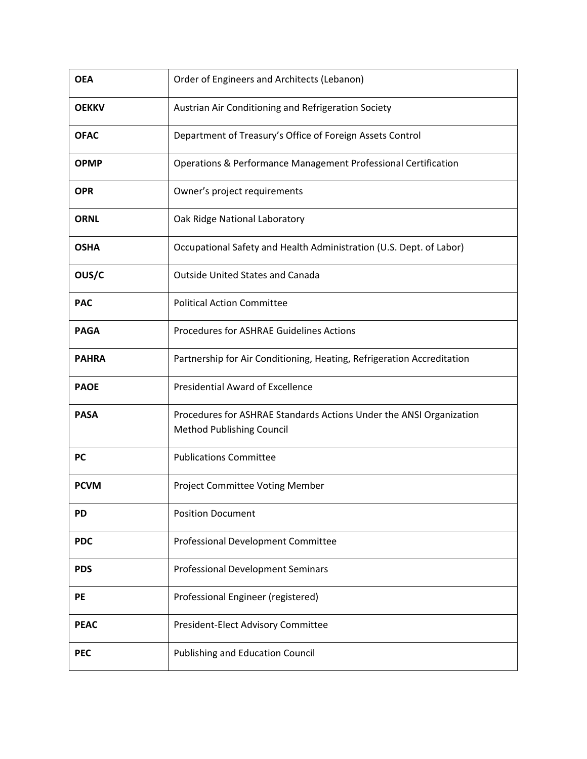| <b>OEA</b>   | Order of Engineers and Architects (Lebanon)                                                      |
|--------------|--------------------------------------------------------------------------------------------------|
| <b>OEKKV</b> | Austrian Air Conditioning and Refrigeration Society                                              |
| <b>OFAC</b>  | Department of Treasury's Office of Foreign Assets Control                                        |
| <b>OPMP</b>  | Operations & Performance Management Professional Certification                                   |
| <b>OPR</b>   | Owner's project requirements                                                                     |
| <b>ORNL</b>  | Oak Ridge National Laboratory                                                                    |
| <b>OSHA</b>  | Occupational Safety and Health Administration (U.S. Dept. of Labor)                              |
| OUS/C        | <b>Outside United States and Canada</b>                                                          |
| <b>PAC</b>   | <b>Political Action Committee</b>                                                                |
| <b>PAGA</b>  | <b>Procedures for ASHRAE Guidelines Actions</b>                                                  |
| <b>PAHRA</b> | Partnership for Air Conditioning, Heating, Refrigeration Accreditation                           |
| <b>PAOE</b>  | <b>Presidential Award of Excellence</b>                                                          |
| <b>PASA</b>  | Procedures for ASHRAE Standards Actions Under the ANSI Organization<br>Method Publishing Council |
| <b>PC</b>    | <b>Publications Committee</b>                                                                    |
| <b>PCVM</b>  | Project Committee Voting Member                                                                  |
| <b>PD</b>    | <b>Position Document</b>                                                                         |
| <b>PDC</b>   | Professional Development Committee                                                               |
| <b>PDS</b>   | <b>Professional Development Seminars</b>                                                         |
| PE           | Professional Engineer (registered)                                                               |
| <b>PEAC</b>  | President-Elect Advisory Committee                                                               |
| <b>PEC</b>   | Publishing and Education Council                                                                 |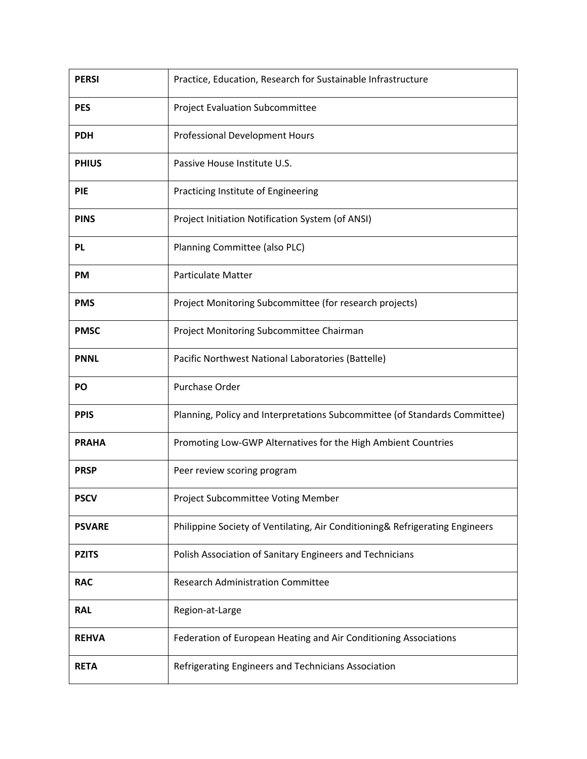| <b>PERSI</b>  | Practice, Education, Research for Sustainable Infrastructure                 |
|---------------|------------------------------------------------------------------------------|
| <b>PES</b>    | <b>Project Evaluation Subcommittee</b>                                       |
| <b>PDH</b>    | Professional Development Hours                                               |
| <b>PHIUS</b>  | Passive House Institute U.S.                                                 |
| <b>PIE</b>    | Practicing Institute of Engineering                                          |
| <b>PINS</b>   | Project Initiation Notification System (of ANSI)                             |
| <b>PL</b>     | Planning Committee (also PLC)                                                |
| <b>PM</b>     | <b>Particulate Matter</b>                                                    |
| <b>PMS</b>    | Project Monitoring Subcommittee (for research projects)                      |
| <b>PMSC</b>   | Project Monitoring Subcommittee Chairman                                     |
| <b>PNNL</b>   | Pacific Northwest National Laboratories (Battelle)                           |
|               |                                                                              |
| PO            | Purchase Order                                                               |
| <b>PPIS</b>   | Planning, Policy and Interpretations Subcommittee (of Standards Committee)   |
| <b>PRAHA</b>  | Promoting Low-GWP Alternatives for the High Ambient Countries                |
| <b>PRSP</b>   | Peer review scoring program                                                  |
| <b>PSCV</b>   | Project Subcommittee Voting Member                                           |
| <b>PSVARE</b> | Philippine Society of Ventilating, Air Conditioning& Refrigerating Engineers |
| <b>PZITS</b>  | Polish Association of Sanitary Engineers and Technicians                     |
| <b>RAC</b>    | <b>Research Administration Committee</b>                                     |
| <b>RAL</b>    | Region-at-Large                                                              |
| <b>REHVA</b>  | Federation of European Heating and Air Conditioning Associations             |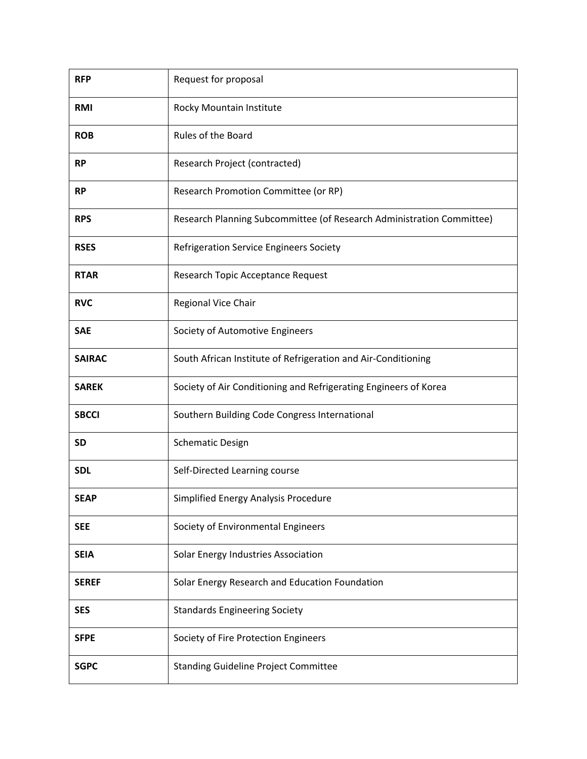| <b>RFP</b>    | Request for proposal                                                  |
|---------------|-----------------------------------------------------------------------|
| <b>RMI</b>    | Rocky Mountain Institute                                              |
| <b>ROB</b>    | Rules of the Board                                                    |
| <b>RP</b>     | Research Project (contracted)                                         |
| <b>RP</b>     | Research Promotion Committee (or RP)                                  |
| <b>RPS</b>    | Research Planning Subcommittee (of Research Administration Committee) |
| <b>RSES</b>   | Refrigeration Service Engineers Society                               |
| <b>RTAR</b>   | Research Topic Acceptance Request                                     |
| <b>RVC</b>    | Regional Vice Chair                                                   |
| <b>SAE</b>    | Society of Automotive Engineers                                       |
| <b>SAIRAC</b> | South African Institute of Refrigeration and Air-Conditioning         |
| <b>SAREK</b>  | Society of Air Conditioning and Refrigerating Engineers of Korea      |
| <b>SBCCI</b>  | Southern Building Code Congress International                         |
| <b>SD</b>     | <b>Schematic Design</b>                                               |
| <b>SDL</b>    | Self-Directed Learning course                                         |
| <b>SEAP</b>   | Simplified Energy Analysis Procedure                                  |
| <b>SEE</b>    | Society of Environmental Engineers                                    |
| <b>SEIA</b>   | Solar Energy Industries Association                                   |
| <b>SEREF</b>  | Solar Energy Research and Education Foundation                        |
| <b>SES</b>    | <b>Standards Engineering Society</b>                                  |
| <b>SFPE</b>   | Society of Fire Protection Engineers                                  |
| <b>SGPC</b>   | <b>Standing Guideline Project Committee</b>                           |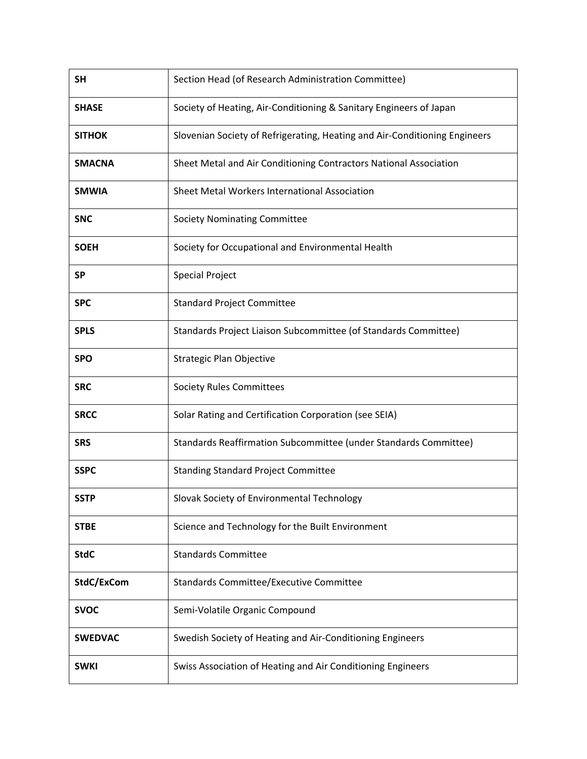| <b>SH</b>      | Section Head (of Research Administration Committee)                        |
|----------------|----------------------------------------------------------------------------|
| <b>SHASE</b>   | Society of Heating, Air-Conditioning & Sanitary Engineers of Japan         |
| <b>SITHOK</b>  | Slovenian Society of Refrigerating, Heating and Air-Conditioning Engineers |
| <b>SMACNA</b>  | Sheet Metal and Air Conditioning Contractors National Association          |
| <b>SMWIA</b>   | Sheet Metal Workers International Association                              |
| <b>SNC</b>     | <b>Society Nominating Committee</b>                                        |
| <b>SOEH</b>    | Society for Occupational and Environmental Health                          |
| <b>SP</b>      | <b>Special Project</b>                                                     |
| <b>SPC</b>     | <b>Standard Project Committee</b>                                          |
| <b>SPLS</b>    | Standards Project Liaison Subcommittee (of Standards Committee)            |
| <b>SPO</b>     | Strategic Plan Objective                                                   |
| <b>SRC</b>     | <b>Society Rules Committees</b>                                            |
| <b>SRCC</b>    | Solar Rating and Certification Corporation (see SEIA)                      |
| <b>SRS</b>     | Standards Reaffirmation Subcommittee (under Standards Committee)           |
| <b>SSPC</b>    | <b>Standing Standard Project Committee</b>                                 |
| <b>SSTP</b>    | Slovak Society of Environmental Technology                                 |
| <b>STBE</b>    | Science and Technology for the Built Environment                           |
| <b>StdC</b>    | <b>Standards Committee</b>                                                 |
| StdC/ExCom     | Standards Committee/Executive Committee                                    |
| <b>SVOC</b>    | Semi-Volatile Organic Compound                                             |
| <b>SWEDVAC</b> | Swedish Society of Heating and Air-Conditioning Engineers                  |
| <b>SWKI</b>    | Swiss Association of Heating and Air Conditioning Engineers                |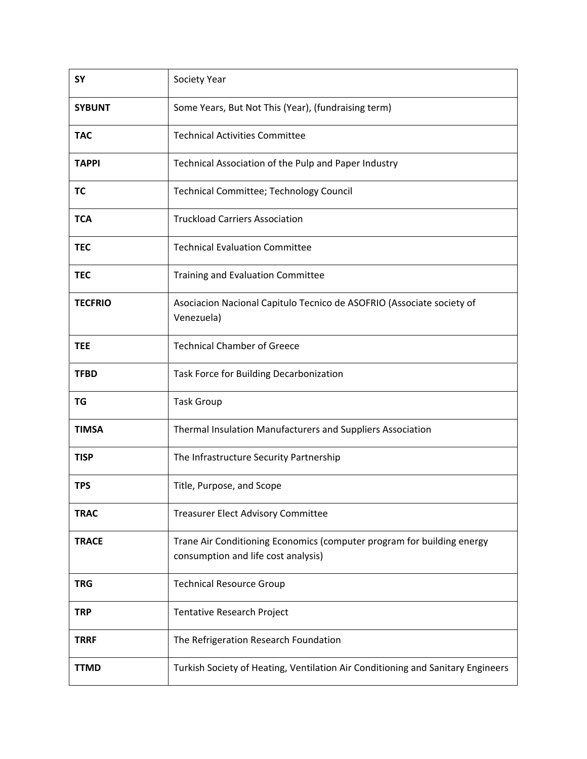| <b>SY</b>      | Society Year                                                                                                  |
|----------------|---------------------------------------------------------------------------------------------------------------|
| <b>SYBUNT</b>  | Some Years, But Not This (Year), (fundraising term)                                                           |
| <b>TAC</b>     | <b>Technical Activities Committee</b>                                                                         |
| <b>TAPPI</b>   | Technical Association of the Pulp and Paper Industry                                                          |
| <b>TC</b>      | Technical Committee; Technology Council                                                                       |
| <b>TCA</b>     | <b>Truckload Carriers Association</b>                                                                         |
| <b>TEC</b>     | <b>Technical Evaluation Committee</b>                                                                         |
| <b>TEC</b>     | <b>Training and Evaluation Committee</b>                                                                      |
| <b>TECFRIO</b> | Asociacion Nacional Capitulo Tecnico de ASOFRIO (Associate society of<br>Venezuela)                           |
| <b>TEE</b>     | <b>Technical Chamber of Greece</b>                                                                            |
| <b>TFBD</b>    | Task Force for Building Decarbonization                                                                       |
| TG             | <b>Task Group</b>                                                                                             |
| TIMSA          | Thermal Insulation Manufacturers and Suppliers Association                                                    |
| <b>TISP</b>    | The Infrastructure Security Partnership                                                                       |
| <b>TPS</b>     | Title, Purpose, and Scope                                                                                     |
| <b>TRAC</b>    | <b>Treasurer Elect Advisory Committee</b>                                                                     |
| <b>TRACE</b>   | Trane Air Conditioning Economics (computer program for building energy<br>consumption and life cost analysis) |
| <b>TRG</b>     | <b>Technical Resource Group</b>                                                                               |
| <b>TRP</b>     | <b>Tentative Research Project</b>                                                                             |
| <b>TRRF</b>    | The Refrigeration Research Foundation                                                                         |
| <b>TTMD</b>    | Turkish Society of Heating, Ventilation Air Conditioning and Sanitary Engineers                               |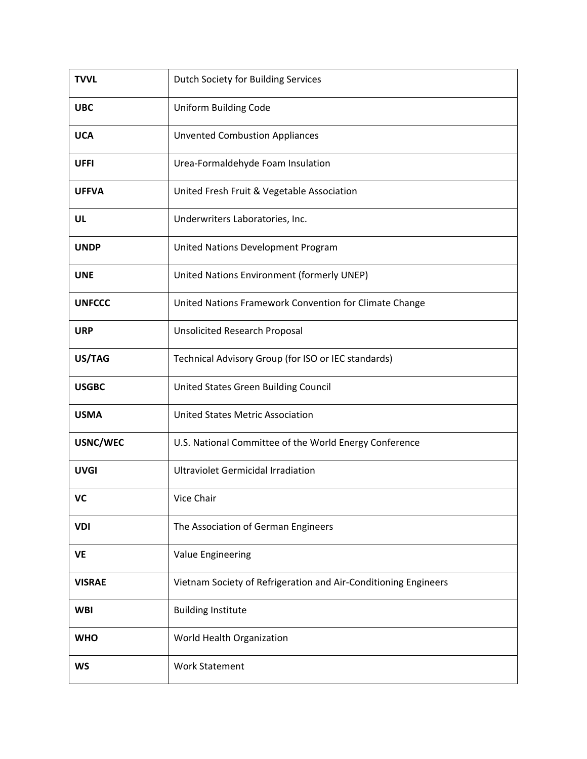| <b>TVVL</b>   | Dutch Society for Building Services                             |
|---------------|-----------------------------------------------------------------|
| <b>UBC</b>    | Uniform Building Code                                           |
| <b>UCA</b>    | <b>Unvented Combustion Appliances</b>                           |
| <b>UFFI</b>   | Urea-Formaldehyde Foam Insulation                               |
| <b>UFFVA</b>  | United Fresh Fruit & Vegetable Association                      |
| UL            | Underwriters Laboratories, Inc.                                 |
| <b>UNDP</b>   | United Nations Development Program                              |
| <b>UNE</b>    | United Nations Environment (formerly UNEP)                      |
| <b>UNFCCC</b> | United Nations Framework Convention for Climate Change          |
| <b>URP</b>    | <b>Unsolicited Research Proposal</b>                            |
| US/TAG        | Technical Advisory Group (for ISO or IEC standards)             |
| <b>USGBC</b>  | United States Green Building Council                            |
| <b>USMA</b>   | <b>United States Metric Association</b>                         |
| USNC/WEC      | U.S. National Committee of the World Energy Conference          |
| <b>UVGI</b>   | <b>Ultraviolet Germicidal Irradiation</b>                       |
| <b>VC</b>     | Vice Chair                                                      |
| <b>VDI</b>    | The Association of German Engineers                             |
| <b>VE</b>     | Value Engineering                                               |
| <b>VISRAE</b> | Vietnam Society of Refrigeration and Air-Conditioning Engineers |
| <b>WBI</b>    | <b>Building Institute</b>                                       |
| <b>WHO</b>    | World Health Organization                                       |
| <b>WS</b>     | <b>Work Statement</b>                                           |